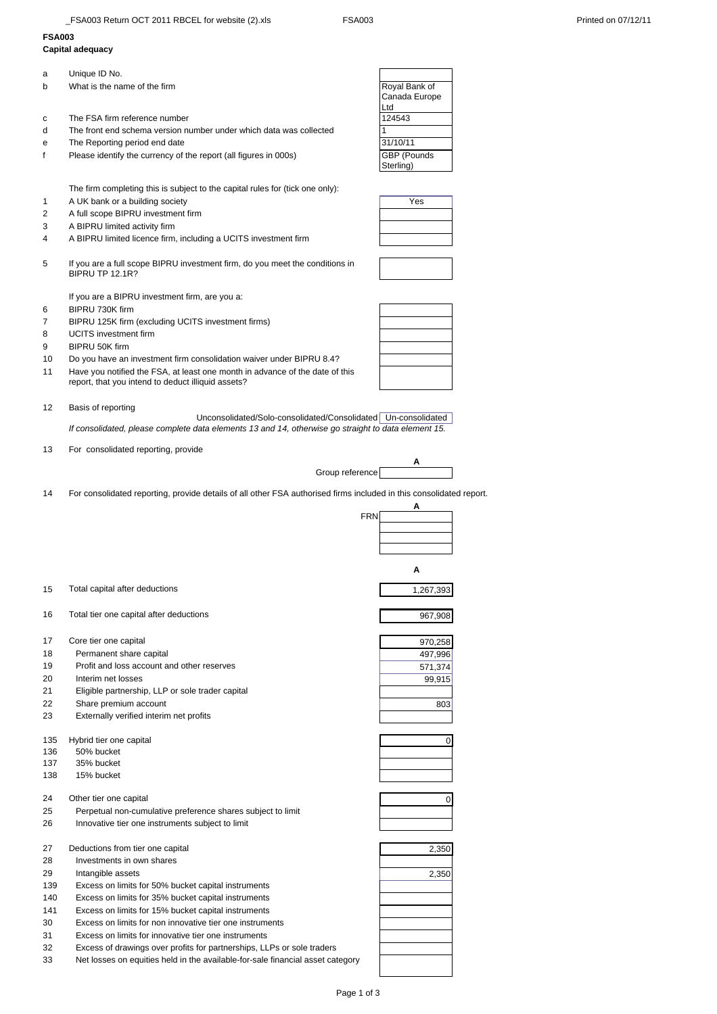## **FSA003**

| <b>FSA003</b>  |                                                                                                                     |               |
|----------------|---------------------------------------------------------------------------------------------------------------------|---------------|
|                | Capital adequacy                                                                                                    |               |
| a              | Unique ID No.                                                                                                       |               |
| b              | What is the name of the firm                                                                                        | Royal Bank of |
|                |                                                                                                                     | Canada Europe |
|                |                                                                                                                     | Ltd           |
| c              | The FSA firm reference number                                                                                       | 124543        |
| d              | The front end schema version number under which data was collected                                                  |               |
| е              | The Reporting period end date                                                                                       | 31/10/11      |
| f              | Please identify the currency of the report (all figures in 000s)                                                    | GBP (Pounds   |
|                |                                                                                                                     | Sterling)     |
|                | The firm completing this is subject to the capital rules for (tick one only):                                       |               |
| 1              | A UK bank or a building society                                                                                     | Yes           |
| $\overline{2}$ | A full scope BIPRU investment firm                                                                                  |               |
| 3              | A BIPRU limited activity firm                                                                                       |               |
| 4              | A BIPRU limited licence firm, including a UCITS investment firm                                                     |               |
|                |                                                                                                                     |               |
| 5              | If you are a full scope BIPRU investment firm, do you meet the conditions in                                        |               |
|                | BIPRU TP 12.1R?                                                                                                     |               |
|                | If you are a BIPRU investment firm, are you a:                                                                      |               |
| 6              | BIPRU 730K firm                                                                                                     |               |
| $\overline{7}$ | BIPRU 125K firm (excluding UCITS investment firms)                                                                  |               |
| 8              | <b>UCITS</b> investment firm                                                                                        |               |
| 9              | BIPRU 50K firm                                                                                                      |               |
| 10             | Do you have an investment firm consolidation waiver under BIPRU 8.4?                                                |               |
| 11             | Have you notified the FSA, at least one month in advance of the date of this                                        |               |
|                | report, that you intend to deduct illiquid assets?                                                                  |               |
|                |                                                                                                                     |               |
| 12             | Basis of reporting<br>Unconsolidated/Solo-consolidated/Consolidated   Un-consolidated                               |               |
|                | If consolidated, please complete data elements 13 and 14, otherwise go straight to data element 15.                 |               |
|                |                                                                                                                     |               |
| 13             | For consolidated reporting, provide                                                                                 |               |
|                | Group reference                                                                                                     |               |
|                |                                                                                                                     |               |
| 14             | For consolidated reporting, provide details of all other FSA authorised firms included in this consolidated report. | A             |
|                | <b>FRN</b>                                                                                                          |               |
|                |                                                                                                                     |               |
|                |                                                                                                                     |               |
|                |                                                                                                                     |               |
|                |                                                                                                                     | А             |
| 15             | Total capital after deductions                                                                                      | 1,267,393     |
|                |                                                                                                                     |               |

- 16 Total tier one capital after deductions and the set of the set of the set of the set of the set of the set of the set of the set of the set of the set of the set of the set of the set of the set of the set of the set of
- 17 Core tier one capital<br>18 Permanent share
- 18 Permanent share capital<br>19 Profit and loss account a
- Profit and loss account and other reserves
- 20 Interim net losses
- 21 Eligible partnership, LLP or sole trader capital
- 22 Share premium account
- 23 Externally verified interim net profits
- 135 Hybrid tier one capital
- 136 50% bucket
- 137 35% bucket
- 138 15% bucket

24 Other tier one capital

- 25 Perpetual non-cumulative preference shares subject to limit 26 Innovative tier one instruments subject to limit
- 27 Deductions from tier one capital
- 28 Investments in own shares
- 29 Intangible assets
- 139 Excess on limits for 50% bucket capital instruments
- 140 Excess on limits for 35% bucket capital instruments
- 141 Excess on limits for 15% bucket capital instruments
- 30 Excess on limits for non innovative tier one instruments
- 31 Excess on limits for innovative tier one instruments
- 32 Excess of drawings over profits for partnerships, LLPs or sole traders
- 33 Net losses on equities held in the available-for-sale financial asset category



| 967,908 |
|---------|

| 970,258 |
|---------|
| 497,996 |
| 571,374 |
| 99.915  |
|         |
| 803     |
|         |
|         |

| J |
|---|
|   |
|   |
|   |

| 2,350 |
|-------|
|       |
| 2,350 |
|       |
|       |
|       |
|       |
|       |
|       |
|       |
|       |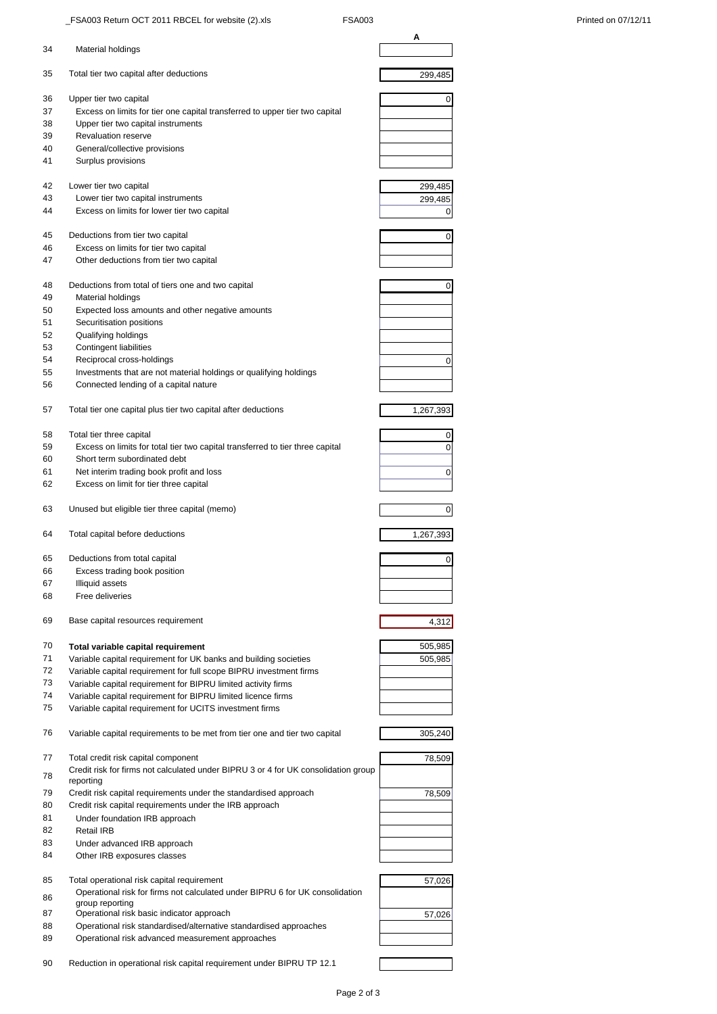|          |                                                                                                                            | Α              |
|----------|----------------------------------------------------------------------------------------------------------------------------|----------------|
| 34       | Material holdings                                                                                                          |                |
| 35       | Total tier two capital after deductions                                                                                    | 299,485        |
| 36       | Upper tier two capital                                                                                                     | 0              |
| 37       | Excess on limits for tier one capital transferred to upper tier two capital                                                |                |
| 38       | Upper tier two capital instruments                                                                                         |                |
| 39       | <b>Revaluation reserve</b>                                                                                                 |                |
| 40       | General/collective provisions                                                                                              |                |
| 41       | Surplus provisions                                                                                                         |                |
| 42       | Lower tier two capital                                                                                                     | 299,485        |
| 43       | Lower tier two capital instruments                                                                                         | 299,485        |
| 44       | Excess on limits for lower tier two capital                                                                                | 0              |
| 45       | Deductions from tier two capital                                                                                           | 0              |
| 46       | Excess on limits for tier two capital                                                                                      |                |
| 47       | Other deductions from tier two capital                                                                                     |                |
| 48       | Deductions from total of tiers one and two capital                                                                         | 0              |
| 49       | Material holdings                                                                                                          |                |
| 50       | Expected loss amounts and other negative amounts                                                                           |                |
| 51       | Securitisation positions                                                                                                   |                |
| 52       | Qualifying holdings                                                                                                        |                |
| 53       | Contingent liabilities                                                                                                     |                |
| 54       | Reciprocal cross-holdings                                                                                                  | 0              |
| 55<br>56 | Investments that are not material holdings or qualifying holdings<br>Connected lending of a capital nature                 |                |
| 57       | Total tier one capital plus tier two capital after deductions                                                              | 1,267,393      |
|          |                                                                                                                            |                |
| 58       | Total tier three capital                                                                                                   | 0              |
| 59       | Excess on limits for total tier two capital transferred to tier three capital                                              | 0              |
| 60       | Short term subordinated debt                                                                                               |                |
| 61       | Net interim trading book profit and loss                                                                                   | 0              |
| 62       | Excess on limit for tier three capital                                                                                     |                |
| 63       | Unused but eligible tier three capital (memo)                                                                              | $\overline{0}$ |
| 64       | Total capital before deductions                                                                                            | 1,267,393      |
| 65       | Deductions from total capital                                                                                              | 0              |
| 66       | Excess trading book position                                                                                               |                |
| 67       | Illiquid assets                                                                                                            |                |
| 68       | Free deliveries                                                                                                            |                |
| 69       | Base capital resources requirement                                                                                         | 4,312          |
| 70       | Total variable capital requirement                                                                                         | 505,985        |
| 71       | Variable capital requirement for UK banks and building societies                                                           | 505,985        |
| 72       | Variable capital requirement for full scope BIPRU investment firms                                                         |                |
| 73       | Variable capital requirement for BIPRU limited activity firms                                                              |                |
| 74       | Variable capital requirement for BIPRU limited licence firms                                                               |                |
| 75       | Variable capital requirement for UCITS investment firms                                                                    |                |
| 76       | Variable capital requirements to be met from tier one and tier two capital                                                 | 305,240        |
| 77       | Total credit risk capital component                                                                                        | 78,509         |
| 78       | Credit risk for firms not calculated under BIPRU 3 or 4 for UK consolidation group                                         |                |
|          | reporting                                                                                                                  |                |
| 79       | Credit risk capital requirements under the standardised approach                                                           | 78,509         |
| 80       | Credit risk capital requirements under the IRB approach                                                                    |                |
| 81       | Under foundation IRB approach                                                                                              |                |
| 82       | Retail IRB                                                                                                                 |                |
| 83<br>84 | Under advanced IRB approach<br>Other IRB exposures classes                                                                 |                |
|          |                                                                                                                            |                |
| 85       | Total operational risk capital requirement<br>Operational risk for firms not calculated under BIPRU 6 for UK consolidation | 57,026         |
| 86       | group reporting                                                                                                            |                |
| 87       | Operational risk basic indicator approach                                                                                  | 57,026         |
| 88       | Operational risk standardised/alternative standardised approaches                                                          |                |
| 89       | Operational risk advanced measurement approaches                                                                           |                |
|          |                                                                                                                            |                |
| 90       | Reduction in operational risk capital requirement under BIPRU TP 12.1                                                      |                |